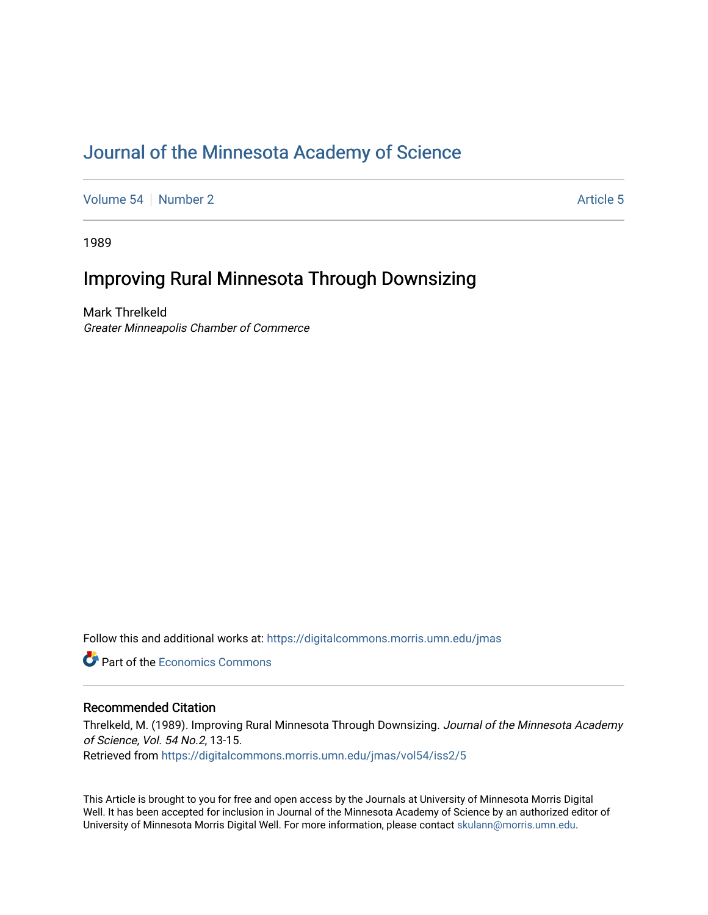### [Journal of the Minnesota Academy of Science](https://digitalcommons.morris.umn.edu/jmas)

[Volume 54](https://digitalcommons.morris.umn.edu/jmas/vol54) [Number 2](https://digitalcommons.morris.umn.edu/jmas/vol54/iss2) [Article 5](https://digitalcommons.morris.umn.edu/jmas/vol54/iss2/5) Article 5

1989

## Improving Rural Minnesota Through Downsizing

Mark Threlkeld Greater Minneapolis Chamber of Commerce

Follow this and additional works at: [https://digitalcommons.morris.umn.edu/jmas](https://digitalcommons.morris.umn.edu/jmas?utm_source=digitalcommons.morris.umn.edu%2Fjmas%2Fvol54%2Fiss2%2F5&utm_medium=PDF&utm_campaign=PDFCoverPages) 

**C** Part of the [Economics Commons](https://network.bepress.com/hgg/discipline/340?utm_source=digitalcommons.morris.umn.edu%2Fjmas%2Fvol54%2Fiss2%2F5&utm_medium=PDF&utm_campaign=PDFCoverPages)

#### Recommended Citation

Threlkeld, M. (1989). Improving Rural Minnesota Through Downsizing. Journal of the Minnesota Academy of Science, Vol. 54 No.2, 13-15.

Retrieved from [https://digitalcommons.morris.umn.edu/jmas/vol54/iss2/5](https://digitalcommons.morris.umn.edu/jmas/vol54/iss2/5?utm_source=digitalcommons.morris.umn.edu%2Fjmas%2Fvol54%2Fiss2%2F5&utm_medium=PDF&utm_campaign=PDFCoverPages)

This Article is brought to you for free and open access by the Journals at University of Minnesota Morris Digital Well. It has been accepted for inclusion in Journal of the Minnesota Academy of Science by an authorized editor of University of Minnesota Morris Digital Well. For more information, please contact [skulann@morris.umn.edu](mailto:skulann@morris.umn.edu).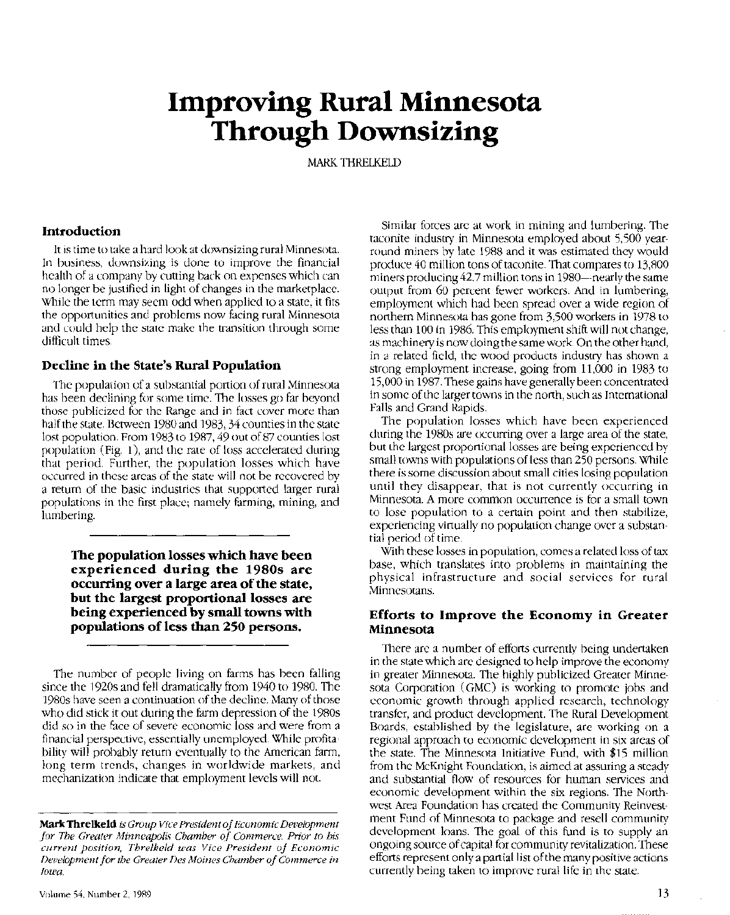# **Improving Rural Minnesota Through Downsizing**

MARK TIIRELKEID

#### **Introduction**

It is time to take a hard look at downsizing rural Minnesota. In business, downsizing is done to improve the financial health of a company by cutting back on expenses which can no longer be justified in light of changes in the marketplace. While the term may seem odd when applied to a state, it fits the opportunities and problems now facing rural Minnesota and could help the state make the transition through some difficult times.

#### **Decline in the State's Rural Population**

The population of a substantial portion of rural Minnesota has been declining for some time. The losses go far beyond those publicized for the Range and in fact cover more than half the state. Between 1980 and 1983, 34 counties in the state lost population. From 1983 to 1987, 49 out of 87 counties lost population (Fig. 1), and the rate of loss accelerated during that period. Further, the population losses which have occurred in these areas of the state will not be recovered by a return of the basic industries that supported larger rural populations in the first place; namely farming, mining, and lumbering.

**The population losses which have been experienced during the 1980s are occurring over a large area of the state, but the largest proportional losses are being experienced by small towns with populations of less than 250 persons.** 

The number of people living on farms has been falling since the 1920s and fell dramatically from 1940 to 1980. The 1980s have seen a continuation ofthe decline. Many of those who did stick it out during the farm depression of the 1980s did so in the face of severe economic loss and were from a financial perspective, essentially unemployed. While profitability will probably return eventually to the American farm, long term trends, changes in worldwide markets, and mechanization indicate that employment levels will not.

Similar forces are at work in mining and lumbering. The taconite industry in Minnesota employed about 5,500 yearround miners by late 1988 and it was estimated they would produce 40 million tons oftaconite. That compares to 13,800 miners producing 42.7 million tons in 1980—nearly the same output from 60 percent fewer workers. And in lumbering, employment which had been spread over a wide region of northern Minnesota has gone from 3,500 workers in 1978 to less than 100 in 1986. This employment shift will not change, as machinery is now doing the same work On the other hand, in a related field, the wood products industry has shown a strong employment increase, going from 11,000 in 1983 to 15,000 in 1987. These gains have generally been concentrated in some of the larger towns in the north, such as International Falls and Grand Rapids.

The population losses which have been experienced during the 1980s are occurring over a large area of the state, but the largest proportional losses are being experienced by small towns with populations of less than 250 persons. While there is some discussion about small cities losing population until they disappear, that is not currently occurring in Minnesota. A more common occurrence is for a small town to lose population to a certain point and then stabilize, experiencing virtually no population change over a substantial period of time.

With these losses in population, comes a related loss of tax base, which translates into problems in maintaining the physical infrastructure and social services for rural Minnesotans.

#### **Efforts to Improve the Economy in Greater Minnesota**

There are a number of efforts currently being undertaken in the state which are designed to help improve the economy in greater Minnesota. The highly publicized Greater Minnesota Corporation (GMC) is working to promote jobs and economic growth through applied research, technology transfer, and product development. The Rural Development Boards, established by the legislature, are working on a regional approach to economic development in six areas of the state. The Minnesota Initiative Fund, with \$15 million from the McKnight Foundation, is aimed at assuring a steady and substantial flow of resources for human services and economic development within the six regions. The Northwest Area Foundation has created the Community Reinvestment Fund of Minnesota to package and resell community development loans. The goal of this fund is to supply an ongoing source of capital for community revitalization. These efforts represent only a partial list of the many positive actions currently being taken to improve rural life in the state.

**Mark Threlkeld** *is Group Vice President of Economic Development for The Greater Minneapolis Chamber of Commerce. Prior to his current position, Threlkeld was Vice President of Economic Development for the Greater Des Moines Chamber of Commerce in Iowa.*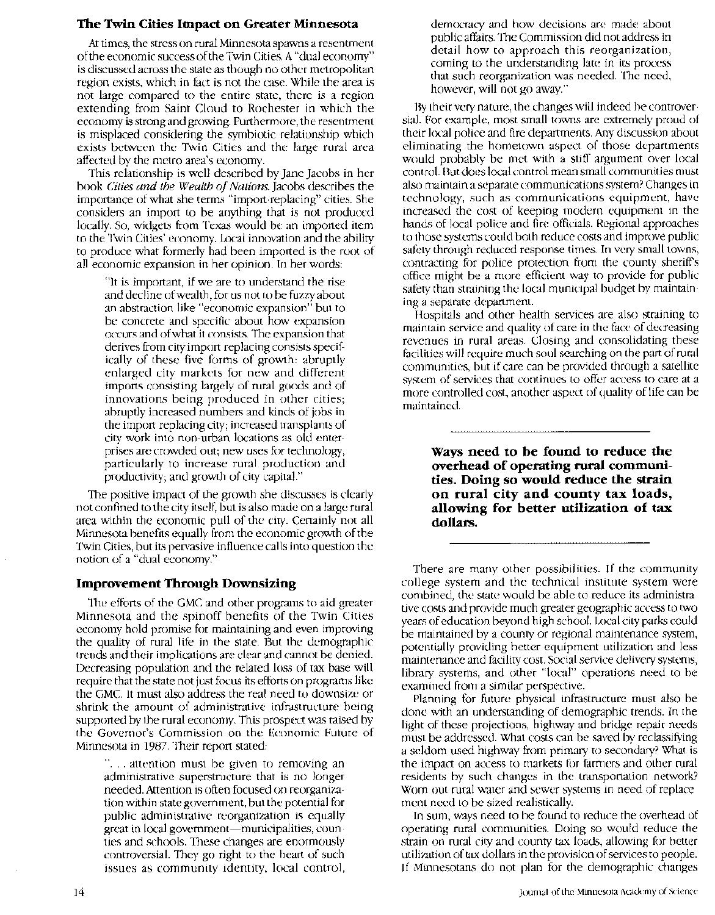#### **The Twin Cities Impact on Greater Minnesota**

At times, the stress on rural Minnesota spawns a resentment of the economic success of the Twin Cities. A "dual economy" is discussed across the state as though no other metropolitan region exists, which in fact is not the case. While the area is not large compared to the entire state, there is a region extending from Saint Cloud to Rochester in which the economy is strong and growing. Furthermore, the resentment is misplaced considering the symbiotic relationship which exists between the Twin Cities and the large rural area affected by the metro area's economy.

This relationship is well described by Jane Jacobs in her book *Cities and the Wealth of Nations.* Jacobs describes the importance of what she terms "import-replacing" cities. She considers an import to be anything that is not produced locally. So, widgets from Texas would be an imported item to the Twin Cities' economy. Local innovation and the ability to produce what formerly had been imported is the root of all economic expansion in her opinion. In her words:

"It is important, if we are to understand the rise and decline of wealth, for us not to be fuzzy about an abstraction like "economic expansion" but to be concrete and specific about how expansion occurs and of what it consists. The expansion that derives from city import-replacing consists specifically of these five forms of growth: abruptly enlarged city markets for new and different imports consisting largely of rural goods and of innovations being produced in other cities; abruptly increased numbers and kinds of jobs in the import-replacing city; increased transplants of city work into non-urban locations as old enterprises are crowded out; new uses for technology, particularly to increase rural production and productivity; and growth of city capital."

The positive impact of the growth she discusses is clearly not confined to the city itself, but is also made on a large rural area within the economic pull of the city. Certainly not all Minnesota benefits equally from the economic growth of the Twin Cities, but its pervasive influence calls into question the notion of a "dual economy."

#### **Improvement Through Downsizing**

The efforts of the GMC and other programs to aid greater Minnesota and the spinoff benefits of the Twin Cities economy hold promise for maintaining and even improving the quality of rural life in the state. But the demographic trends and their implications are clear and cannot be denied. Decreasing population and the related loss of tax base will require that the state not just focus its efforts on programs like the GMC. It must also address the real need to downsize or shrink the amount of administrative infrastructure being supported by the rural economy. This prospect was raised by the Governor's Commission on the Economic Future of Minnesota in 1987. Their report stated:

"... attention must be given to removing an administrative superstructure that is no longer needed. Attention is often focused on reorganization within state government, but the potential for public administrative reorganization is equally great in local government-municipalities, counties and schools. These changes are enormously controversial. They go right to the heart of such issues as community identity, local control, democracy and how decisions are made about public affairs. The Commission did not address in detail how to approach this reorganization, coming to the understanding late in its process that such reorganization was needed. The need, however, will not go away."

By their very nature, the changes will indeed be controversial. For example, most small towns are extremely proud of their local police and fire departments. Any discussion about eliminating the hometown aspect of those departments would probably be met with a stiff argument over local control. But does local control mean small communities must also maintain a separate communications system? Changes in technology, such as communications equipment, have increased the cost of keeping modern equipment in the hands of local police and fire officials. Regional approaches to those systems could both reduce costs and improve public safety through reduced response times. In very small towns, contracting for police protection from the county sheriffs office might be a more efficient way to provide for public safety than straining the local municipal budget by maintaining a separate department.

Hospitals and other health services are also straining to maintain service and quality of care in the face of decreasing revenues in rural areas. Closing and consolidating these facilities will require much soul searching on the part of rural communities, but if care can be provided through a satellite system of services that continues to offer access to care at a more controlled cost, another aspect of quality of life can be maintained.

**Ways need to be found to reduce the overhead of operating rural communities. Doing so would reduce the strain on rural city and county tax loads, allowing for better utilization of tax dollars.** 

There are many other possibilities. If the community college system and the technical institute system were combined, the state would be able to reduce its administrative costs and provide much greater geographic access to two years of education beyond high school. Local city parks could be maintained by a county or regional maintenance system, potentially providing better equipment utilization and less maintenance and facility cost. Social service delivery systems, library systems, and other "local" operations need to be examined from a similar perspective.

Planning for future physical infrastructure must also be done with an understanding of demographic trends. In the light of these projections, highway and bridge repair needs must be addressed. What costs can be saved by reclassifying a seldom used highway from primary to secondary? What is the impact on access to markets for farmers and other rural residents by such changes in the transportation network? Worn out rural water and sewer systems in need of replacement need to be sized realistically.

In sum, ways need to be found to reduce the overhead of operating rural communities. Doing so would reduce the strain on rural city and county tax loads, allowing for better utilization of tax dollars in the provision of services to people. If Minnesotans do not plan for the demographic changes